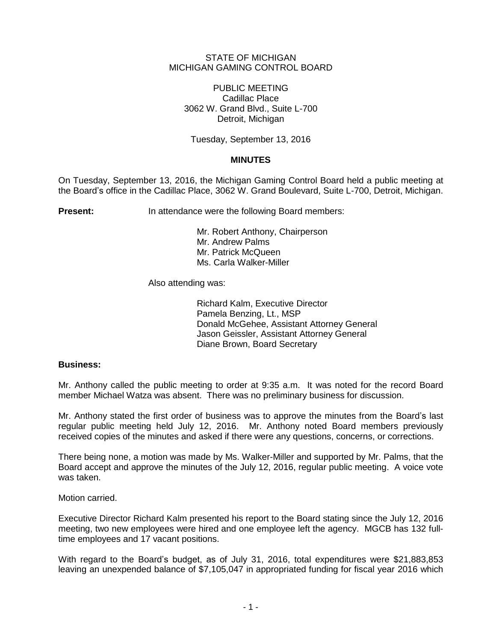## STATE OF MICHIGAN MICHIGAN GAMING CONTROL BOARD

PUBLIC MEETING Cadillac Place 3062 W. Grand Blvd., Suite L-700 Detroit, Michigan

Tuesday, September 13, 2016

# **MINUTES**

On Tuesday, September 13, 2016, the Michigan Gaming Control Board held a public meeting at the Board's office in the Cadillac Place, 3062 W. Grand Boulevard, Suite L-700, Detroit, Michigan.

**Present:** In attendance were the following Board members:

Mr. Robert Anthony, Chairperson Mr. Andrew Palms Mr. Patrick McQueen Ms. Carla Walker-Miller

Also attending was:

Richard Kalm, Executive Director Pamela Benzing, Lt., MSP Donald McGehee, Assistant Attorney General Jason Geissler, Assistant Attorney General Diane Brown, Board Secretary

## **Business:**

Mr. Anthony called the public meeting to order at 9:35 a.m. It was noted for the record Board member Michael Watza was absent. There was no preliminary business for discussion.

Mr. Anthony stated the first order of business was to approve the minutes from the Board's last regular public meeting held July 12, 2016. Mr. Anthony noted Board members previously received copies of the minutes and asked if there were any questions, concerns, or corrections.

There being none, a motion was made by Ms. Walker-Miller and supported by Mr. Palms, that the Board accept and approve the minutes of the July 12, 2016, regular public meeting. A voice vote was taken.

Motion carried.

Executive Director Richard Kalm presented his report to the Board stating since the July 12, 2016 meeting, two new employees were hired and one employee left the agency. MGCB has 132 fulltime employees and 17 vacant positions.

With regard to the Board's budget, as of July 31, 2016, total expenditures were \$21,883,853 leaving an unexpended balance of \$7,105,047 in appropriated funding for fiscal year 2016 which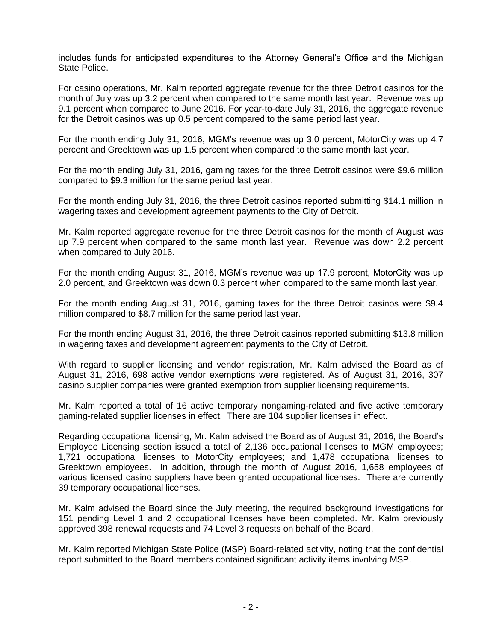includes funds for anticipated expenditures to the Attorney General's Office and the Michigan State Police.

For casino operations, Mr. Kalm reported aggregate revenue for the three Detroit casinos for the month of July was up 3.2 percent when compared to the same month last year. Revenue was up 9.1 percent when compared to June 2016. For year-to-date July 31, 2016, the aggregate revenue for the Detroit casinos was up 0.5 percent compared to the same period last year.

For the month ending July 31, 2016, MGM's revenue was up 3.0 percent, MotorCity was up 4.7 percent and Greektown was up 1.5 percent when compared to the same month last year.

For the month ending July 31, 2016, gaming taxes for the three Detroit casinos were \$9.6 million compared to \$9.3 million for the same period last year.

For the month ending July 31, 2016, the three Detroit casinos reported submitting \$14.1 million in wagering taxes and development agreement payments to the City of Detroit.

Mr. Kalm reported aggregate revenue for the three Detroit casinos for the month of August was up 7.9 percent when compared to the same month last year. Revenue was down 2.2 percent when compared to July 2016.

For the month ending August 31, 2016, MGM's revenue was up 17.9 percent, MotorCity was up 2.0 percent, and Greektown was down 0.3 percent when compared to the same month last year.

For the month ending August 31, 2016, gaming taxes for the three Detroit casinos were \$9.4 million compared to \$8.7 million for the same period last year.

For the month ending August 31, 2016, the three Detroit casinos reported submitting \$13.8 million in wagering taxes and development agreement payments to the City of Detroit.

With regard to supplier licensing and vendor registration, Mr. Kalm advised the Board as of August 31, 2016, 698 active vendor exemptions were registered. As of August 31, 2016, 307 casino supplier companies were granted exemption from supplier licensing requirements.

Mr. Kalm reported a total of 16 active temporary nongaming-related and five active temporary gaming-related supplier licenses in effect. There are 104 supplier licenses in effect.

Regarding occupational licensing, Mr. Kalm advised the Board as of August 31, 2016, the Board's Employee Licensing section issued a total of 2,136 occupational licenses to MGM employees; 1,721 occupational licenses to MotorCity employees; and 1,478 occupational licenses to Greektown employees. In addition, through the month of August 2016, 1,658 employees of various licensed casino suppliers have been granted occupational licenses. There are currently 39 temporary occupational licenses.

Mr. Kalm advised the Board since the July meeting, the required background investigations for 151 pending Level 1 and 2 occupational licenses have been completed. Mr. Kalm previously approved 398 renewal requests and 74 Level 3 requests on behalf of the Board.

Mr. Kalm reported Michigan State Police (MSP) Board-related activity, noting that the confidential report submitted to the Board members contained significant activity items involving MSP.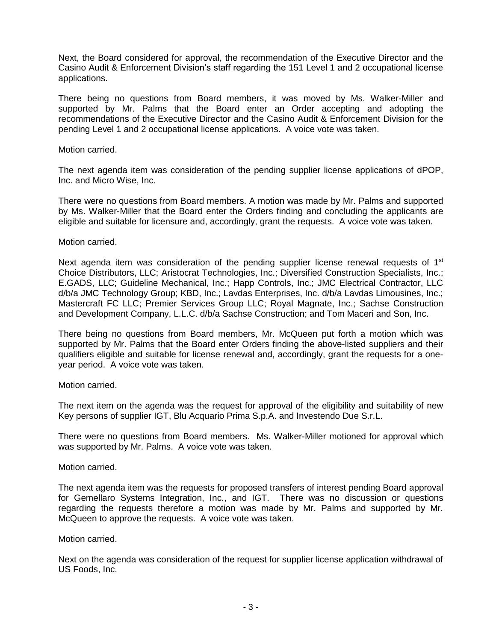Next, the Board considered for approval, the recommendation of the Executive Director and the Casino Audit & Enforcement Division's staff regarding the 151 Level 1 and 2 occupational license applications.

There being no questions from Board members, it was moved by Ms. Walker-Miller and supported by Mr. Palms that the Board enter an Order accepting and adopting the recommendations of the Executive Director and the Casino Audit & Enforcement Division for the pending Level 1 and 2 occupational license applications. A voice vote was taken.

## Motion carried.

The next agenda item was consideration of the pending supplier license applications of dPOP, Inc. and Micro Wise, Inc.

There were no questions from Board members. A motion was made by Mr. Palms and supported by Ms. Walker-Miller that the Board enter the Orders finding and concluding the applicants are eligible and suitable for licensure and, accordingly, grant the requests. A voice vote was taken.

#### Motion carried.

Next agenda item was consideration of the pending supplier license renewal requests of 1<sup>st</sup> Choice Distributors, LLC; Aristocrat Technologies, Inc.; Diversified Construction Specialists, Inc.; E.GADS, LLC; Guideline Mechanical, Inc.; Happ Controls, Inc.; JMC Electrical Contractor, LLC d/b/a JMC Technology Group; KBD, Inc.; Lavdas Enterprises, Inc. d/b/a Lavdas Limousines, Inc.; Mastercraft FC LLC; Premier Services Group LLC; Royal Magnate, Inc.; Sachse Construction and Development Company, L.L.C. d/b/a Sachse Construction; and Tom Maceri and Son, Inc.

There being no questions from Board members, Mr. McQueen put forth a motion which was supported by Mr. Palms that the Board enter Orders finding the above-listed suppliers and their qualifiers eligible and suitable for license renewal and, accordingly, grant the requests for a oneyear period. A voice vote was taken.

Motion carried.

The next item on the agenda was the request for approval of the eligibility and suitability of new Key persons of supplier IGT, Blu Acquario Prima S.p.A. and Investendo Due S.r.L.

There were no questions from Board members. Ms. Walker-Miller motioned for approval which was supported by Mr. Palms. A voice vote was taken.

Motion carried.

The next agenda item was the requests for proposed transfers of interest pending Board approval for Gemellaro Systems Integration, Inc., and IGT. There was no discussion or questions regarding the requests therefore a motion was made by Mr. Palms and supported by Mr. McQueen to approve the requests. A voice vote was taken.

#### Motion carried.

Next on the agenda was consideration of the request for supplier license application withdrawal of US Foods, Inc.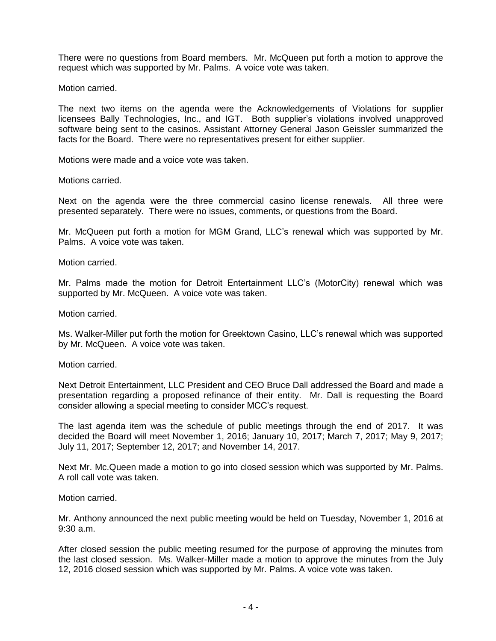There were no questions from Board members. Mr. McQueen put forth a motion to approve the request which was supported by Mr. Palms. A voice vote was taken.

Motion carried.

The next two items on the agenda were the Acknowledgements of Violations for supplier licensees Bally Technologies, Inc., and IGT. Both supplier's violations involved unapproved software being sent to the casinos. Assistant Attorney General Jason Geissler summarized the facts for the Board. There were no representatives present for either supplier.

Motions were made and a voice vote was taken.

Motions carried.

Next on the agenda were the three commercial casino license renewals. All three were presented separately. There were no issues, comments, or questions from the Board.

Mr. McQueen put forth a motion for MGM Grand, LLC's renewal which was supported by Mr. Palms. A voice vote was taken.

Motion carried.

Mr. Palms made the motion for Detroit Entertainment LLC's (MotorCity) renewal which was supported by Mr. McQueen. A voice vote was taken.

Motion carried.

Ms. Walker-Miller put forth the motion for Greektown Casino, LLC's renewal which was supported by Mr. McQueen. A voice vote was taken.

Motion carried.

Next Detroit Entertainment, LLC President and CEO Bruce Dall addressed the Board and made a presentation regarding a proposed refinance of their entity. Mr. Dall is requesting the Board consider allowing a special meeting to consider MCC's request.

The last agenda item was the schedule of public meetings through the end of 2017. It was decided the Board will meet November 1, 2016; January 10, 2017; March 7, 2017; May 9, 2017; July 11, 2017; September 12, 2017; and November 14, 2017.

Next Mr. Mc.Queen made a motion to go into closed session which was supported by Mr. Palms. A roll call vote was taken.

Motion carried.

Mr. Anthony announced the next public meeting would be held on Tuesday, November 1, 2016 at 9:30 a.m.

After closed session the public meeting resumed for the purpose of approving the minutes from the last closed session. Ms. Walker-Miller made a motion to approve the minutes from the July 12, 2016 closed session which was supported by Mr. Palms. A voice vote was taken.